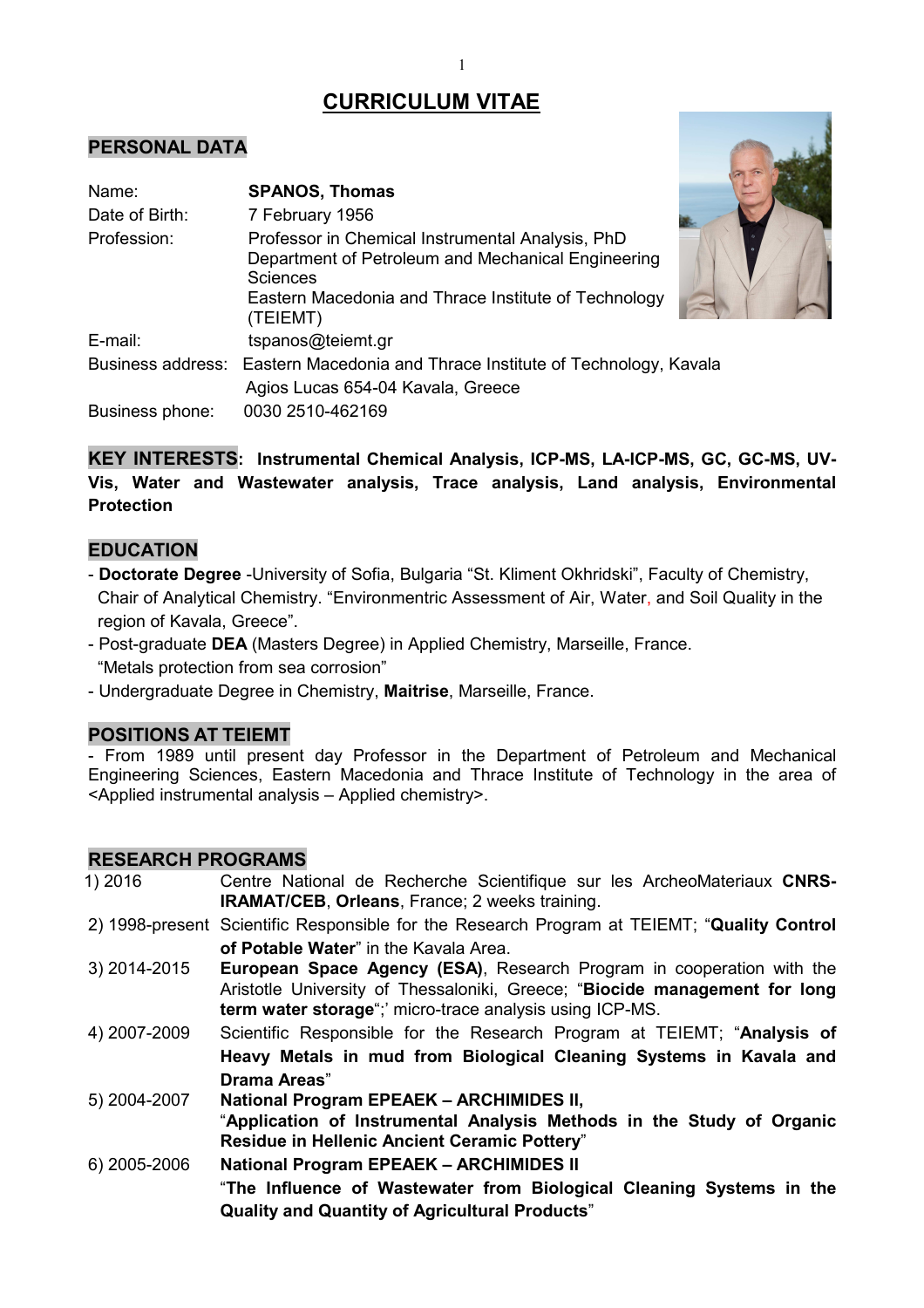# **CURRICULUM VITAE**

# **PERSONAL DATA**

| Name:           | <b>SPANOS, Thomas</b>                                                                                                                                                                         |  |
|-----------------|-----------------------------------------------------------------------------------------------------------------------------------------------------------------------------------------------|--|
| Date of Birth:  | 7 February 1956                                                                                                                                                                               |  |
| Profession:     | Professor in Chemical Instrumental Analysis, PhD<br>Department of Petroleum and Mechanical Engineering<br><b>Sciences</b><br>Eastern Macedonia and Thrace Institute of Technology<br>(TEIEMT) |  |
| E-mail:         | tspanos@teiemt.gr                                                                                                                                                                             |  |
|                 | Business address: Eastern Macedonia and Thrace Institute of Technology, Kavala                                                                                                                |  |
|                 | Agios Lucas 654-04 Kavala, Greece                                                                                                                                                             |  |
| Business phone: | 0030 2510-462169                                                                                                                                                                              |  |



**KEY INTERESTS: Instrumental Chemical Analysis, ICP-MS, LA-ICP-MS, GC, GC-MS, UV-Vis, Water and Wastewater analysis, Trace analysis, Land analysis, Environmental Protection** 

# **EDUCATION**

- **Doctorate Degree** -University of Sofia, Bulgaria "St. Kliment Okhridski", Faculty of Chemistry, Chair of Analytical Chemistry. "Environmentric Assessment of Air, Water, and Soil Quality in the region of Kavala, Greece".
- Post-graduate **DEA** (Masters Degree) in Applied Chemistry, Marseille, France. "Metals protection from sea corrosion"
- Undergraduate Degree in Chemistry, **Maitrise**, Marseille, France.

# **POSITIONS AT TEIEMT**

- From 1989 until present day Professor in the Department of Petroleum and Mechanical Engineering Sciences, Eastern Macedonia and Thrace Institute of Technology in the area of <Applied instrumental analysis – Applied chemistry>.

# **RESEARCH PROGRAMS**

- 1) 2016 Centre National de Recherche Scientifique sur les ArcheoMateriaux **CNRS-IRAMAT/CEB**, **Orleans**, France; 2 weeks training.
- 2) 1998-present Scientific Responsible for the Research Program at TEIEMT; "**Quality Control of Potable Water**" in the Kavala Area.
- 3) 2014-2015 **European Space Agency (ESA)**, Research Program in cooperation with the Aristotle University of Thessaloniki, Greece; "**Biocide management for long term water storage**";' micro-trace analysis using ICP-MS.
- 4) 2007-2009 Scientific Responsible for the Research Program at TEIEMT; "**Analysis of Heavy Metals in mud from Biological Cleaning Systems in Kavala and Drama Areas**"
- 5) 2004-2007 **National Program EPEAEK ARCHIMIDES II,** "**Application of Instrumental Analysis Methods in the Study of Organic Residue in Hellenic Ancient Ceramic Pottery**"
- 6) 2005-2006 **National Program EPEAEK ARCHIMIDES II** "**The Influence of Wastewater from Biological Cleaning Systems in the Quality and Quantity of Agricultural Products**"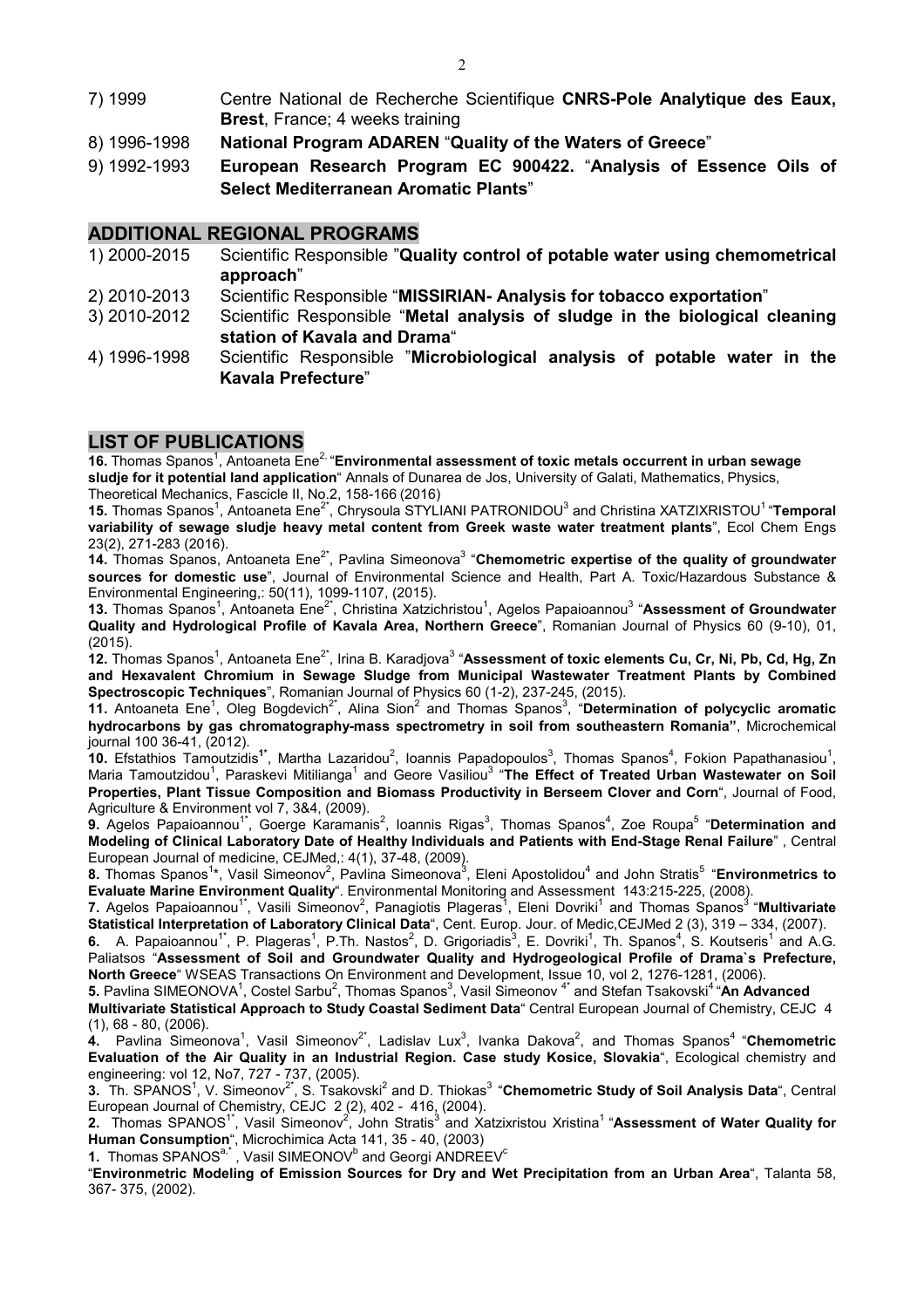- 7) 1999 Centre National de Recherche Scientifique **CNRS-Pole Analytique des Eaux, Brest**, France; 4 weeks training
- 8) 1996-1998 **National Program ADAREN** "**Quality of the Waters of Greece**"
- 9) 1992-1993 **European Research Program EC 900422.** "**Analysis of Essence Oils of Select Mediterranean Aromatic Plants**"

## **ADDITIONAL REGIONAL PROGRAMS**

- 1) 2000-2015 Scientific Responsible "**Quality control of potable water using chemometrical approach**"
- 2) 2010-2013 Scientific Responsible "**MISSIRIAN- Analysis for tobacco exportation**"
- 3) 2010-2012 Scientific Responsible "**Metal analysis of sludge in the biological cleaning station of Kavala and Drama**"
- 4) 1996-1998 Scientific Responsible "**Microbiological analysis of potable water in the Kavala Prefecture**"

# **LIST OF PUBLICATIONS**

16. Thomas Spanos<sup>1</sup>, Antoaneta Ene<sup>2,</sup> "Environmental assessment of toxic metals occurrent in urban sewage **sludje for it potential land application**" Annals of Dunarea de Jos, University of Galati, Mathematics, Physics, Theoretical Mechanics, Fascicle II, No.2, 158-166 (2016)

**15.** Thomas Spanos<sup>1</sup>, Antoaneta Ene<sup>2\*</sup>, Chrysoula STYLIANI PATRONIDOU<sup>3</sup> and Christina XATZIXRISTOU<sup>1</sup> "**Temporal variability of sewage sludje heavy metal content from Greek waste water treatment plants**", Ecol Chem Engs 23(2), 271-283 (2016).

**14.** Thomas Spanos, Antoaneta Ene<sup>2\*</sup>, Pavlina Simeonova<sup>3</sup> "Chemometric expertise of the quality of groundwater **sources for domestic use**", Journal of Environmental Science and Health, Part A. Toxic/Hazardous Substance & Environmental Engineering,: 50(11), 1099-1107, (2015).

**13.** Thomas Spanos<sup>1</sup>, Antoaneta Ene<sup>2\*</sup>, Christina Xatzichristou<sup>1</sup>, Agelos Papaioannou<sup>3</sup> "Assessment of Groundwater **Quality and Hydrological Profile of Kavala Area, Northern Greece**", Romanian Journal of Physics 60 (9-10), 01, (2015).

 $\hat{\bm{a}}$ 2. Thomas Spanos<sup>1</sup>, Antoaneta Ene<sup>2\*</sup>, Irina B. Karadjova<sup>3</sup> "**Assessment of toxic elements Cu, Cr, Ni, Pb, Cd, Hg, Zn and Hexavalent Chromium in Sewage Sludge from Municipal Wastewater Treatment Plants by Combined Spectroscopic Techniques**", Romanian Journal of Physics 60 (1-2), 237-245, (2015).

**11.** Antoaneta Ene<sup>1</sup>, Oleg Bogdevich<sup>2\*</sup>, Alina Sion<sup>2</sup> and Thomas Spanos<sup>3</sup>, "Determination of polycyclic aromatic **hydrocarbons by gas chromatography-mass spectrometry in soil from southeastern Romania"**, Microchemical journal 100 36-41, (2012).

**10.** Efstathios Tamoutzidis<sup>1\*</sup>, Martha Lazaridou<sup>2</sup>, Ioannis Papadopoulos<sup>3</sup>, Thomas Spanos<sup>4</sup>, Fokion Papathanasiou<sup>1</sup>, Maria Tamoutzidou<sup>1</sup>, Paraskevi Mitilianga<sup>1</sup> and Geore Vasiliou<sup>3</sup> "**The Effect of Treated Urban Wastewater on Soil Properties, Plant Tissue Composition and Biomass Productivity in Berseem Clover and Corn**", Journal of Food, Agriculture & Environment vol 7, 3&4, (2009).

**9.** Agelos Papaioannou<sup>1\*</sup>, Goerge Karamanis<sup>2</sup>, Ioannis Rigas<sup>3</sup>, Thomas Spanos<sup>4</sup>, Zoe Roupa<sup>5</sup> "**Determination and Modeling of Clinical Laboratory Date of Healthy Individuals and Patients with End-Stage Renal Failure**" , Central European Journal of medicine, CEJMed,: 4(1), 37-48, (2009).

**8.** Thomas Spanos<sup>1</sup>\*, Vasil Simeonov<sup>2</sup>, Pavlina Simeonova<sup>3</sup>, Eleni Apostolidou<sup>4</sup> and John Stratis<sup>5</sup> "Environmetrics to **Evaluate Marine Environment Quality**". Environmental Monitoring and Assessment 143:215-225, (2008).

**7.** Agelos Papaioannou<sup>1\*</sup>, Vasili Simeonov<sup>2</sup>, Panagiotis Plageras<sup>1</sup>, Eleni Dovriki<sup>1</sup> and Thomas Spanos<sup>3</sup> "**Multivariate Statistical Interpretation of Laboratory Clinical Data**", Cent. Europ. Jour. of Medic,CEJMed 2 (3), 319 – 334, (2007).

**6.** A. Papaioannou<sup>1\*</sup>, P. Plageras<sup>1</sup>, P.Th. Nastos<sup>2</sup>, D. Grigoriadis<sup>3</sup>, E. Dovriki<sup>1</sup>, Th. Spanos<sup>4</sup>, S. Koutseris<sup>1</sup> and A.G. Paliatsos "**Assessment of Soil and Groundwater Quality and Hydrogeological Profile of Drama`s Prefecture, North Greece**" WSEAS Transactions On Environment and Development, Issue 10, vol 2, 1276-1281, (2006).

**5.** Pavlina SIMEONOVA<sup>1</sup>, Costel Sarbu<sup>2</sup>, Thomas Spanos<sup>3</sup>, Vasil Simeonov <sup>4\*</sup> and Stefan Tsakovski<sup>4</sup> "**An Advanced** 

**Multivariate Statistical Approach to Study Coastal Sediment Data**" Central European Journal of Chemistry, CEJC 4 (1), 68 - 80, (2006).

 $4.$  Pavlina Simeonova<sup>1</sup>, Vasil Simeonov<sup>2\*</sup>, Ladislav Lux<sup>3</sup>, Ivanka Dakova<sup>2</sup>, and Thomas Spanos<sup>4</sup> "**Chemometric Evaluation of the Air Quality in an Industrial Region. Case study Kosice, Slovakia**", Ecological chemistry and engineering: vol 12, No7, 727 - 737, (2005).

**3.** Th. SPANOS<sup>1</sup>, V. Simeonov<sup>2\*</sup>, S. Tsakovski<sup>2</sup> and D. Thiokas<sup>3</sup> "**Chemometric Study of Soil Analysis Data**", Central European Journal of Chemistry, CEJC 2 (2), 402 - 416, (2004).

2. Thomas SPANOS<sup>1\*</sup>, Vasil Simeonov<sup>2</sup>, John Stratis<sup>3</sup> and Xatzixristou Xristina<sup>1</sup> "Assessment of Water Quality for **Human Consumption**", Μicrochimica Acta 141, 35 - 40, (2003)

**1. Thomas SPANOS<sup>a,\*</sup>, Vasil SIMEONOV<sup>b</sup> and Georgi ANDREEV<sup>c</sup>** 

"**Environmetric Modeling of Emission Sources for Dry and Wet Precipitation from an Urban Area**", Talanta 58, 367- 375, (2002).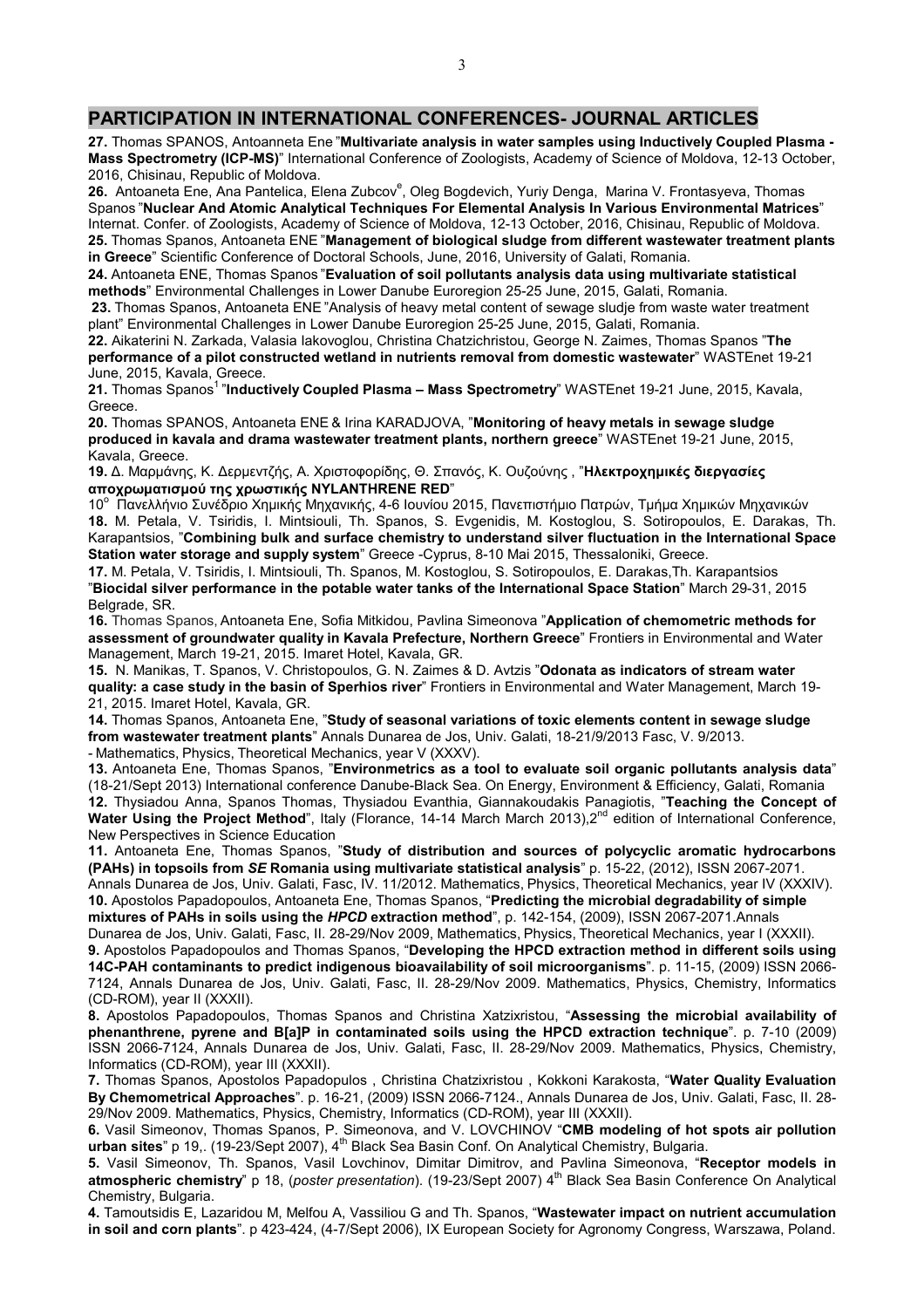#### **PARTICIPATION IN INTERNATIONAL CONFERENCES- JOURNAL ARTICLES**

**27.** Thomas SPANOS, Antoanneta Ene "**Multivariate analysis in water samples using Inductively Coupled Plasma - Mass Spectrometry (ICP-MS)**" International Conference of Zoologists, Academy of Science of Moldova, 12-13 October, 2016, Chisinau, Republic of Moldova.

**26.** Antoaneta Ene, Ana Pantelica, Elena Zubcov<sup>e</sup>, Oleg Bogdevich, Yuriy Denga, Marina V. Frontasyeva, Thomas Spanos "**Nuclear And Atomic Analytical Techniques For Elemental Analysis In Various Environmental Matrices**" Internat. Confer. of Zoologists, Academy of Science of Moldova, 12-13 October, 2016, Chisinau, Republic of Moldova. **25.** Thomas Spanos, Antoaneta ENE "**Management of biological sludge from different wastewater treatment plants in Greece**" Scientific Conference of Doctoral Schools, June, 2016, University of Galati, Romania.

**24.** Antoaneta ENE, Thomas Spanos "**Evaluation of soil pollutants analysis data using multivariate statistical methods**" Environmental Challenges in Lower Danube Euroregion 25-25 June, 2015, Galati, Romania.

**23.** Thomas Spanos, Antoaneta ENE "Analysis of heavy metal content of sewage sludje from waste water treatment plant" Environmental Challenges in Lower Danube Euroregion 25-25 June, 2015, Galati, Romania.

**22.** Aikaterini N. Zarkada, Valasia Iakovoglou, Christina Chatzichristou, George N. Zaimes, Thomas Spanos "**The performance of a pilot constructed wetland in nutrients removal from domestic wastewater**" WASTEnet 19-21 June, 2015, Kavala, Greece.

21. Thomas Spanos<sup>1</sup> "Inductively Coupled Plasma - Mass Spectrometry" WASTEnet 19-21 June, 2015, Kavala, Greece.

**20.** Thomas SPANOS, Antoaneta ENE & Irina KARADJOVA, "**Μonitoring of heavy metals in sewage sludge produced in kavala and drama wastewater treatment plants, northern greece**" WASTEnet 19-21 June, 2015, Kavala, Greece.

**19.** Δ. Μαρμάνης, Κ. Δερμεντζής, Α. Χριστοφορίδης, Θ. Σπανός, Κ. Ουζούνης , "**Ηλεκτροχημικές διεργασίες αποχρωματισμού της χρωστικής NYLANTHRENE RED**"

10° Πανελλήνιο Συνέδριο Χημικής Μηχανικής, 4-6 Ιουνίου 2015, Πανεπιστήμιο Πατρών, Τμήμα Χημικών Μηχανικών Ι **18.** M. Petala, V. Tsiridis, I. Mintsiouli, Th. Spanos, S. Evgenidis, M. Kostoglou, S. Sotiropoulos, E. Darakas, Th. Karapantsios, "**Combining bulk and surface chemistry to understand silver fluctuation in the International Space Station water storage and supply system**" Greece -Cyprus, 8-10 Mai 2015, Thessaloniki, Greece.

**17.** M. Petala, V. Tsiridis, I. Mintsiouli, Th. Spanos, M. Kostoglou, S. Sotiropoulos, E. Darakas,Th. Karapantsios "**Biocidal silver performance in the potable water tanks of the International Space Station**" March 29-31, 2015 Belgrade, SR.

**16.** Thomas Spanos, Antoaneta Ene, Sofia Mitkidou, Pavlina Simeonova "**Application of chemometric methods for assessment of groundwater quality in Kavala Prefecture, Northern Greece**" Frontiers in Environmental and Water Management, March 19-21, 2015. Imaret Hotel, Kavala, GR.

**15.** N. Manikas, T. Spanos, V. Christopoulos, G. N. Zaimes & D. Avtzis "**Odonata as indicators of stream water quality: a case study in the basin of Sperhios river**" Frontiers in Environmental and Water Management, March 19- 21, 2015. Imaret Hotel, Kavala, GR.

**14.** Thomas Spanos, Antoaneta Ene, "**Study of seasonal variations of toxic elements content in sewage sludge from wastewater treatment plants**" Annals Dunarea de Jos, Univ. Galati, 18-21/9/2013 Fasc, V. 9/2013. - Mathematics, Physics, Theoretical Mechanics, year V (XXXV).

**13.** Antoaneta Ene, Thomas Spanos, "**Environmetrics as a tool to evaluate soil organic pollutants analysis data**" (18-21/Sept 2013) International conference Danube-Black Sea. On Energy, Environment & Efficiency, Galati, Romania **12.** Thysiadou Anna, Spanos Thomas, Thysiadou Evanthia, Giannakoudakis Panagiotis, "**Teaching the Concept of**  Water Using the Project Method", Italy (Florance, 14-14 March March 2013),2<sup>nd</sup> edition of International Conference, New Perspectives in Science Education

**11.** Antoaneta Ene, Thomas Spanos, "**Study of distribution and sources of polycyclic aromatic hydrocarbons (PAHs) in topsoils from** *SE* **Romania using multivariate statistical analysis**" p. 15-22, (2012), ISSN 2067-2071. Annals Dunarea de Jos, Univ. Galati, Fasc, IV. 11/2012. Mathematics, Physics, Theoretical Mechanics, year IV (XXXΙV). **10.** Apostolos Papadopoulos, Antoaneta Ene, Thomas Spanos, "**Predicting the microbial degradability of simple** 

**mixtures of PAHs in soils using the** *HPCD* **extraction method**", p. 142-154, (2009), ISSN 2067-2071.Annals Dunarea de Jos, Univ. Galati, Fasc, II. 28-29/Nov 2009, Mathematics, Physics, Theoretical Mechanics, year I (XXXII). **9.** Apostolos Papadopoulos and Thomas Spanos, "**Developing the HPCD extraction method in different soils using** 

**14C-PAH contaminants to predict indigenous bioavailability of soil microorganisms**". p. 11-15, (2009) ISSN 2066- 7124, Annals Dunarea de Jos, Univ. Galati, Fasc, II. 28-29/Nov 2009. Mathematics, Physics, Chemistry, Informatics (CD-ROM), year II (XXXII).

**8.** Apostolos Papadopoulos, Thomas Spanos and Christina Xatzixristou, "**Assessing the microbial availability of phenanthrene, pyrene and B[a]P in contaminated soils using the HPCD extraction technique**". p. 7-10 (2009) ISSN 2066-7124, Annals Dunarea de Jos, Univ. Galati, Fasc, II. 28-29/Nov 2009. Mathematics, Physics, Chemistry, Informatics (CD-ROM), year III (XXXII).

**7.** Thomas Spanos, Apostolos Papadopulos , Christina Chatzixristou , Kokkoni Karakosta, "**Water Quality Evaluation By Chemometrical Approaches**". p. 16-21, (2009) ISSN 2066-7124., Annals Dunarea de Jos, Univ. Galati, Fasc, II. 28- 29/Nov 2009. Mathematics, Physics, Chemistry, Informatics (CD-ROM), year III (XXXII).

**6.** Vasil Simeonov, Thomas Spanos, P. Simeonova, and V. LOVCHINOV "**CMB modeling of hot spots air pollution**  urban sites" p 19., (19-23/Sept 2007), 4<sup>th</sup> Black Sea Basin Conf. On Analytical Chemistry, Bulgaria.

**5.** Vasil Simeonov, Th. Spanos, Vasil Lovchinov, Dimitar Dimitrov, and Pavlina Simeonova, "**Receptor models in**  atmospheric chemistry" p 18, (poster presentation). (19-23/Sept 2007) 4<sup>th</sup> Black Sea Basin Conference On Analytical Chemistry, Bulgaria.

**4.** Tamoutsidis E, Lazaridou M, Melfou A, Vassiliou G and Th. Spanos, "**Wastewater impact on nutrient accumulation in soil and corn plants**". p 423-424, (4-7/Sept 2006), IX European Society for Agronomy Congress, Warszawa, Poland.